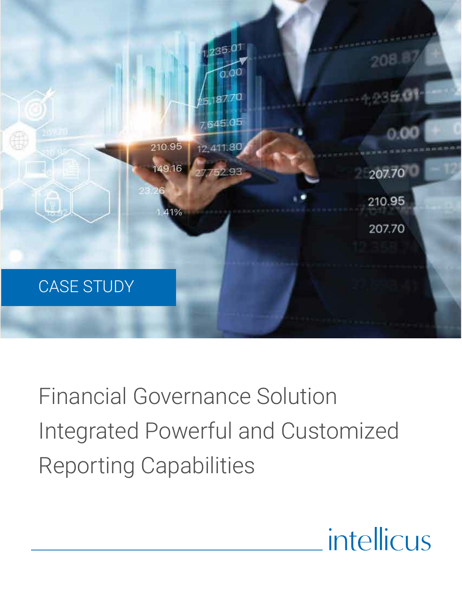

Financial Governance Solution Integrated Powerful and Customized Reporting Capabilities

# intellicus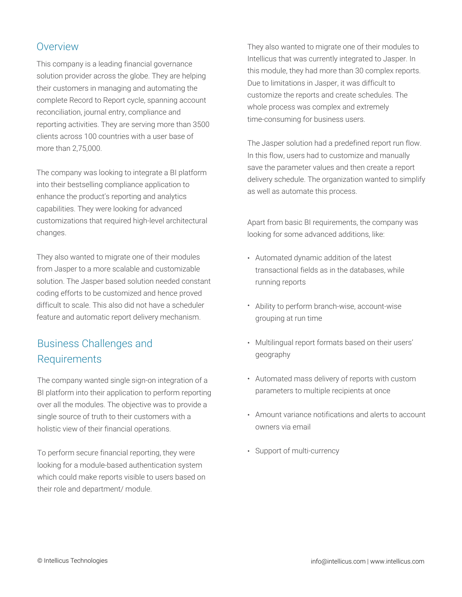## **Overview**

This company is a leading financial governance solution provider across the globe. They are helping their customers in managing and automating the complete Record to Report cycle, spanning account reconciliation, journal entry, compliance and reporting activities. They are serving more than 3500 clients across 100 countries with a user base of more than 2,75,000.

The company was looking to integrate a BI platform into their bestselling compliance application to enhance the product's reporting and analytics capabilities. They were looking for advanced customizations that required high-level architectural changes.

They also wanted to migrate one of their modules from Jasper to a more scalable and customizable solution. The Jasper based solution needed constant coding efforts to be customized and hence proved difficult to scale. This also did not have a scheduler feature and automatic report delivery mechanism.

## Business Challenges and Requirements

The company wanted single sign-on integration of a BI platform into their application to perform reporting over all the modules. The objective was to provide a single source of truth to their customers with a holistic view of their financial operations.

To perform secure financial reporting, they were looking for a module-based authentication system which could make reports visible to users based on their role and department/ module.

They also wanted to migrate one of their modules to Intellicus that was currently integrated to Jasper. In this module, they had more than 30 complex reports. Due to limitations in Jasper, it was difficult to customize the reports and create schedules. The whole process was complex and extremely time-consuming for business users.

The Jasper solution had a predefined report run flow. In this flow, users had to customize and manually save the parameter values and then create a report delivery schedule. The organization wanted to simplify as well as automate this process.

Apart from basic BI requirements, the company was looking for some advanced additions, like:

- Automated dynamic addition of the latest transactional fields as in the databases, while running reports
- Ability to perform branch-wise, account-wise grouping at run time
- Multilingual report formats based on their users' geography
- Automated mass delivery of reports with custom parameters to multiple recipients at once
- Amount variance notifications and alerts to account owners via email
- Support of multi-currency